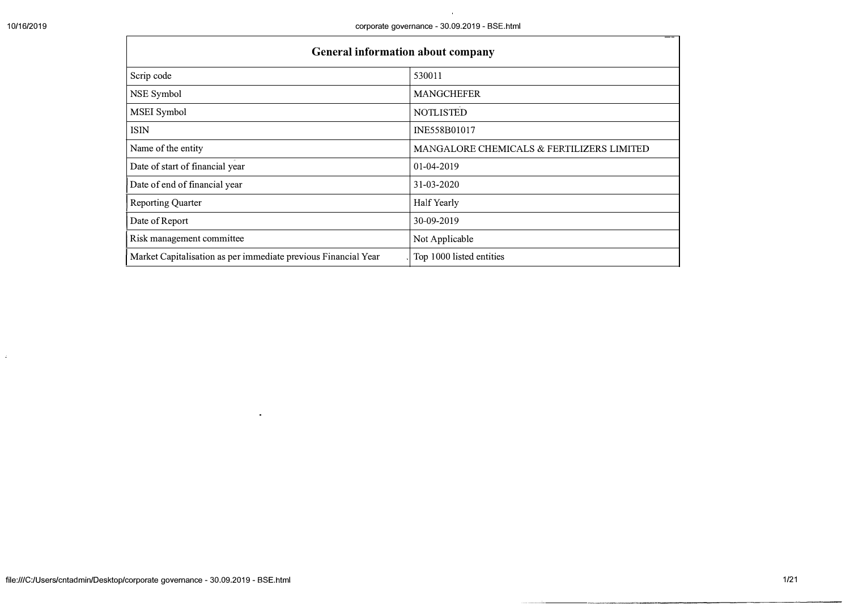$\omega$ 

ா

 $\mathcal{A}$ 

| General information about company                              |                                           |
|----------------------------------------------------------------|-------------------------------------------|
| Scrip code                                                     | 530011                                    |
| NSE Symbol                                                     | <b>MANGCHEFER</b>                         |
| MSEI Symbol                                                    | <b>NOTLISTED</b>                          |
| <b>ISIN</b>                                                    | INE558B01017                              |
| Name of the entity                                             | MANGALORE CHEMICALS & FERTILIZERS LIMITED |
| Date of start of financial year                                | 01-04-2019                                |
| Date of end of financial year                                  | 31-03-2020                                |
| <b>Reporting Quarter</b>                                       | Half Yearly                               |
| Date of Report                                                 | 30-09-2019                                |
| Risk management committee                                      | Not Applicable                            |
| Market Capitalisation as per immediate previous Financial Year | Top 1000 listed entities                  |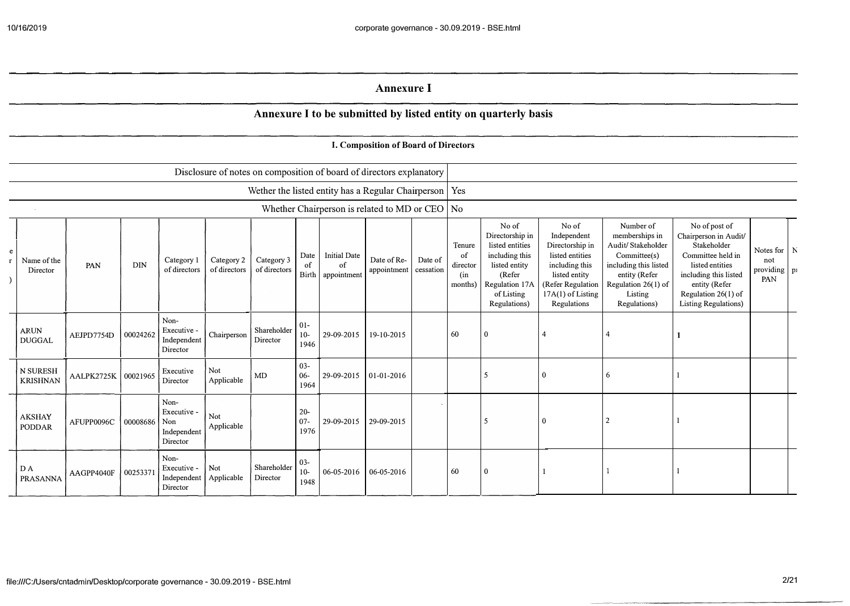## **Annexure I**

## **Annexure I to be subniitted by listed entity on quarterly basis**

## **I. Composition of Board of Directors**

|                                |            |            |                                                       |                            |                            |                          |                                                  | Disclosure of notes on composition of board of directors explanatory |                      |                                            |                                                                                                                                          |                                                                                                                                                        |                                                                                                                                                                |                                                                                                                                                                                                |                                                  |  |
|--------------------------------|------------|------------|-------------------------------------------------------|----------------------------|----------------------------|--------------------------|--------------------------------------------------|----------------------------------------------------------------------|----------------------|--------------------------------------------|------------------------------------------------------------------------------------------------------------------------------------------|--------------------------------------------------------------------------------------------------------------------------------------------------------|----------------------------------------------------------------------------------------------------------------------------------------------------------------|------------------------------------------------------------------------------------------------------------------------------------------------------------------------------------------------|--------------------------------------------------|--|
|                                |            |            |                                                       |                            |                            |                          |                                                  | Wether the listed entity has a Regular Chairperson   Yes             |                      |                                            |                                                                                                                                          |                                                                                                                                                        |                                                                                                                                                                |                                                                                                                                                                                                |                                                  |  |
|                                |            |            |                                                       |                            |                            |                          |                                                  | Whether Chairperson is related to MD or CEO $\vert$ No               |                      |                                            |                                                                                                                                          |                                                                                                                                                        |                                                                                                                                                                |                                                                                                                                                                                                |                                                  |  |
| Name of the<br>Director        | PAN        | <b>DIN</b> | Category 1<br>of directors                            | Category 2<br>of directors | Category 3<br>of directors | Date<br>of               | <b>Initial Date</b><br>of<br>Birth   appointment | Date of Re-<br>appointment                                           | Date of<br>cessation | Tenure<br>of<br>director<br>(in<br>months) | No of<br>Directorship in<br>listed entities<br>including this<br>listed entity<br>(Refer<br>Regulation 17A<br>of Listing<br>Regulations) | No of<br>Independent<br>Directorship in<br>listed entities<br>including this<br>listed entity<br>(Refer Regulation<br>17A(1) of Listing<br>Regulations | Number of<br>memberships in<br>Audit/Stakeholder<br>Committee(s)<br>including this listed<br>entity (Refer<br>Regulation $26(1)$ of<br>Listing<br>Regulations) | No of post of<br>Chairperson in Audit/<br>Stakeholder<br>Committee held in<br>listed entities<br>including this listed<br>entity (Refer<br>Regulation 26(1) of<br><b>Listing Regulations</b> ) | Notes for $ N $<br>not<br>providing $ pi$<br>PAN |  |
| <b>ARUN</b><br><b>DUGGAL</b>   | AEJPD7754D | 00024262   | Non-<br>Executive -<br>Independent<br>Director        | Chairperson                | Shareholder<br>Director    | $01-$<br>$10-$<br>1946   | 29-09-2015                                       | 19-10-2015                                                           |                      | 60                                         | $\theta$                                                                                                                                 | $\overline{4}$                                                                                                                                         |                                                                                                                                                                |                                                                                                                                                                                                |                                                  |  |
| N SURESH<br><b>KRISHNAN</b>    | AALPK2725K | 00021965   | Executive<br>Director                                 | Not<br>Applicable          | MD                         | $03 -$<br>06-<br>1964    | 29-09-2015                                       | $ 01-01-2016$                                                        |                      |                                            | 5                                                                                                                                        | $\theta$                                                                                                                                               | 6                                                                                                                                                              |                                                                                                                                                                                                |                                                  |  |
| <b>AKSHAY</b><br><b>PODDAR</b> | AFUPP0096C | 00008686   | Non-<br>Executive -<br>Non<br>Independent<br>Director | Not<br>Applicable          |                            | $20 -$<br>$07 -$<br>1976 | 29-09-2015                                       | 29-09-2015                                                           |                      |                                            | $\mathcal{L}$                                                                                                                            | $\theta$                                                                                                                                               |                                                                                                                                                                |                                                                                                                                                                                                |                                                  |  |
| D A<br>PRASANNA                | AAGPP4040F | 00253371   | Non-<br>Executive -<br>Independent<br>Director        | Not<br>Applicable          | Shareholder<br>Director    | $03 -$<br>$10-$<br>1948  | 06-05-2016                                       | 06-05-2016                                                           |                      | 60                                         | $\theta$                                                                                                                                 |                                                                                                                                                        |                                                                                                                                                                |                                                                                                                                                                                                |                                                  |  |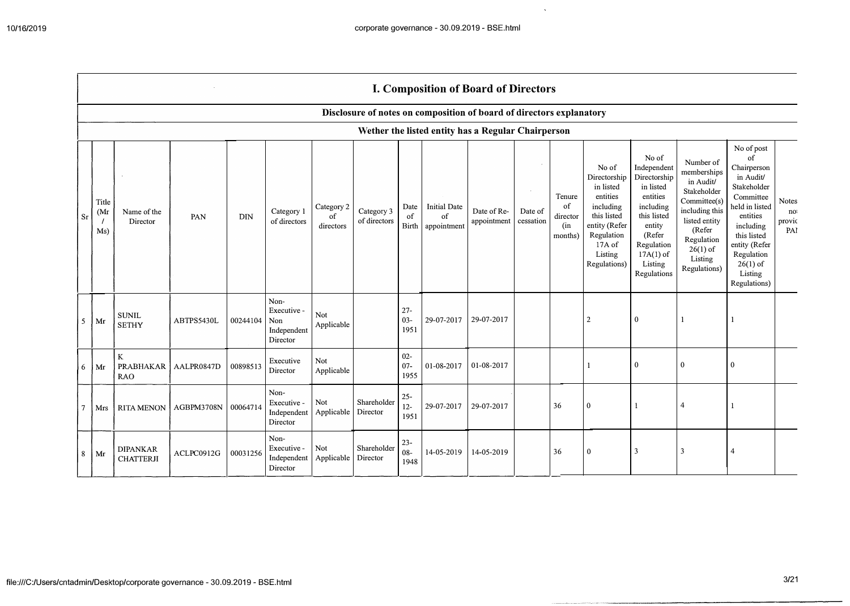$\sim$   $\sim$ 

|                |                      |                                     |            |          |                                                       |                               |                            |                          | <b>I. Composition of Board of Directors</b>                          |                            |                      |                                            |                                                                                                                                                |                                                                                                                                                                      |                                                                                                                                                                          |                                                                                                                                                                                                            |                                     |
|----------------|----------------------|-------------------------------------|------------|----------|-------------------------------------------------------|-------------------------------|----------------------------|--------------------------|----------------------------------------------------------------------|----------------------------|----------------------|--------------------------------------------|------------------------------------------------------------------------------------------------------------------------------------------------|----------------------------------------------------------------------------------------------------------------------------------------------------------------------|--------------------------------------------------------------------------------------------------------------------------------------------------------------------------|------------------------------------------------------------------------------------------------------------------------------------------------------------------------------------------------------------|-------------------------------------|
|                |                      |                                     |            |          |                                                       |                               |                            |                          | Disclosure of notes on composition of board of directors explanatory |                            |                      |                                            |                                                                                                                                                |                                                                                                                                                                      |                                                                                                                                                                          |                                                                                                                                                                                                            |                                     |
|                |                      |                                     |            |          |                                                       |                               |                            |                          | Wether the listed entity has a Regular Chairperson                   |                            |                      |                                            |                                                                                                                                                |                                                                                                                                                                      |                                                                                                                                                                          |                                                                                                                                                                                                            |                                     |
| Sr             | Title<br>(Mr)<br>Ms) | Name of the<br>Director             | PAN        | DIN      | Category 1<br>of directors                            | Category 2<br>of<br>directors | Category 3<br>of directors | Date<br>of<br>Birth      | <b>Initial Date</b><br>of<br>appointment                             | Date of Re-<br>appointment | Date of<br>cessation | Tenure<br>of<br>director<br>(in<br>months) | No of<br>Directorship<br>in listed<br>entities<br>including<br>this listed<br>entity (Refer<br>Regulation<br>17A of<br>Listing<br>Regulations) | No of<br>Independent<br>Directorship<br>in listed<br>entities<br>including<br>this listed<br>entity<br>(Refer<br>Regulation<br>$17A(1)$ of<br>Listing<br>Regulations | Number of<br>memberships<br>in Audit/<br>Stakeholder<br>Committee(s)<br>including this<br>listed entity<br>(Refer<br>Regulation<br>$26(1)$ of<br>Listing<br>Regulations) | No of post<br>of<br>Chairperson<br>in Audit/<br>Stakeholder<br>Committee<br>held in listed<br>entities<br>including<br>this listed<br>entity (Refer<br>Regulation<br>$26(1)$ of<br>Listing<br>Regulations) | <b>Notes</b><br>no<br>provic<br>PAI |
| 5 <sup>5</sup> | Mr                   | <b>SUNIL</b><br><b>SETHY</b>        | ABTPS5430L | 00244104 | Non-<br>Executive -<br>Non<br>Independent<br>Director | Not<br>Applicable             |                            | $27 -$<br>$03 -$<br>1951 | 29-07-2017                                                           | 29-07-2017                 |                      |                                            | $\overline{2}$                                                                                                                                 | 0                                                                                                                                                                    |                                                                                                                                                                          |                                                                                                                                                                                                            |                                     |
| 6              | Mr                   | K<br>PRABHAKAR<br><b>RAO</b>        | AALPR0847D | 00898513 | Executive<br>Director                                 | Not<br>Applicable             |                            | $02 -$<br>$07 -$<br>1955 | 01-08-2017                                                           | 01-08-2017                 |                      |                                            |                                                                                                                                                | $\bf{0}$                                                                                                                                                             | $\mathbf{0}$                                                                                                                                                             | 0                                                                                                                                                                                                          |                                     |
| $\overline{7}$ | Mrs                  | <b>RITA MENON</b>                   | AGBPM3708N | 00064714 | Non-<br>Executive -<br>Independent<br>Director        | Not<br>Applicable             | Shareholder<br>Director    | $25 -$<br>$12 -$<br>1951 | 29-07-2017                                                           | 29-07-2017                 |                      | 36                                         | $\mathbf{0}$                                                                                                                                   |                                                                                                                                                                      | $\overline{4}$                                                                                                                                                           |                                                                                                                                                                                                            |                                     |
| 8              | Mr                   | <b>DIPANKAR</b><br><b>CHATTERJI</b> | ACLPC0912G | 00031256 | Non-<br>Executive -<br>Independent<br>Director        | Not<br>Applicable             | Shareholder<br>Director    | $23 -$<br>$08 -$<br>1948 | 14-05-2019                                                           | 14-05-2019                 |                      | 36                                         | $\bf{0}$                                                                                                                                       | 3                                                                                                                                                                    | 3                                                                                                                                                                        | 4                                                                                                                                                                                                          |                                     |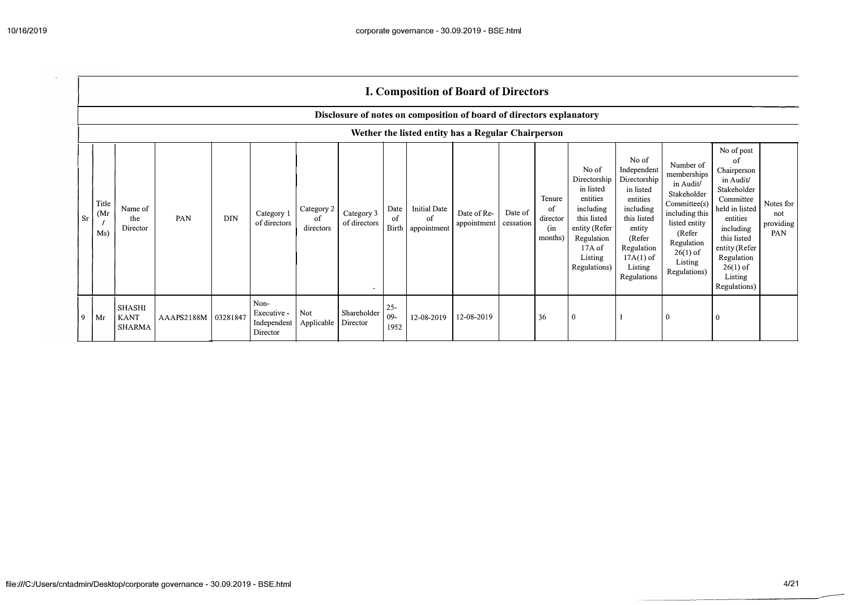$\mathbf{r}$ 

|    |                                   | I. Composition of Board of Directors               |                       |            |                                                |                               |                            |                         |                                                                      |                            |                      |                                            |                                                                                                                                                |                                                                                                                                                                      |                                                                                                                                                                          |                                                                                                                                                                                                            |                                      |
|----|-----------------------------------|----------------------------------------------------|-----------------------|------------|------------------------------------------------|-------------------------------|----------------------------|-------------------------|----------------------------------------------------------------------|----------------------------|----------------------|--------------------------------------------|------------------------------------------------------------------------------------------------------------------------------------------------|----------------------------------------------------------------------------------------------------------------------------------------------------------------------|--------------------------------------------------------------------------------------------------------------------------------------------------------------------------|------------------------------------------------------------------------------------------------------------------------------------------------------------------------------------------------------------|--------------------------------------|
|    |                                   |                                                    |                       |            |                                                |                               |                            |                         | Disclosure of notes on composition of board of directors explanatory |                            |                      |                                            |                                                                                                                                                |                                                                                                                                                                      |                                                                                                                                                                          |                                                                                                                                                                                                            |                                      |
|    |                                   | Wether the listed entity has a Regular Chairperson |                       |            |                                                |                               |                            |                         |                                                                      |                            |                      |                                            |                                                                                                                                                |                                                                                                                                                                      |                                                                                                                                                                          |                                                                                                                                                                                                            |                                      |
| Sr | Title<br>(M <sub>I</sub> )<br>Ms) | Name of<br>the<br>Director                         | PAN                   | <b>DIN</b> | Category 1<br>of directors                     | Category 2<br>of<br>directors | Category 3<br>of directors | Date<br>of<br>Birth     | <b>Initial Date</b><br>of<br>appointment                             | Date of Re-<br>appointment | Date of<br>cessation | Tenure<br>of<br>director<br>(in<br>months) | No of<br>Directorship<br>in listed<br>entities<br>including<br>this listed<br>entity (Refer<br>Regulation<br>17A of<br>Listing<br>Regulations) | No of<br>Independent<br>Directorship<br>in listed<br>entities<br>including<br>this listed<br>entity<br>(Refer<br>Regulation<br>$17A(1)$ of<br>Listing<br>Regulations | Number of<br>memberships<br>in Audit/<br>Stakeholder<br>Committee(s)<br>including this<br>listed entity<br>(Refer<br>Regulation<br>$26(1)$ of<br>Listing<br>Regulations) | No of post<br>of<br>Chairperson<br>in Audit/<br>Stakeholder<br>Committee<br>held in listed<br>entities<br>including<br>this listed<br>entity (Refer<br>Regulation<br>$26(1)$ of<br>Listing<br>Regulations) | Notes for<br>not<br>providing<br>PAN |
| 9  | Mr                                | SHASHI<br><b>KANT</b><br><b>SHARMA</b>             | AAAPS2188M   03281847 |            | Non-<br>Executive -<br>Independent<br>Director | Not<br>Applicable             | Shareholder<br>Director    | $25 -$<br>$09-$<br>1952 | 12-08-2019                                                           | 12-08-2019                 |                      | 36                                         |                                                                                                                                                |                                                                                                                                                                      | $\mathbf{0}$                                                                                                                                                             | 0                                                                                                                                                                                                          |                                      |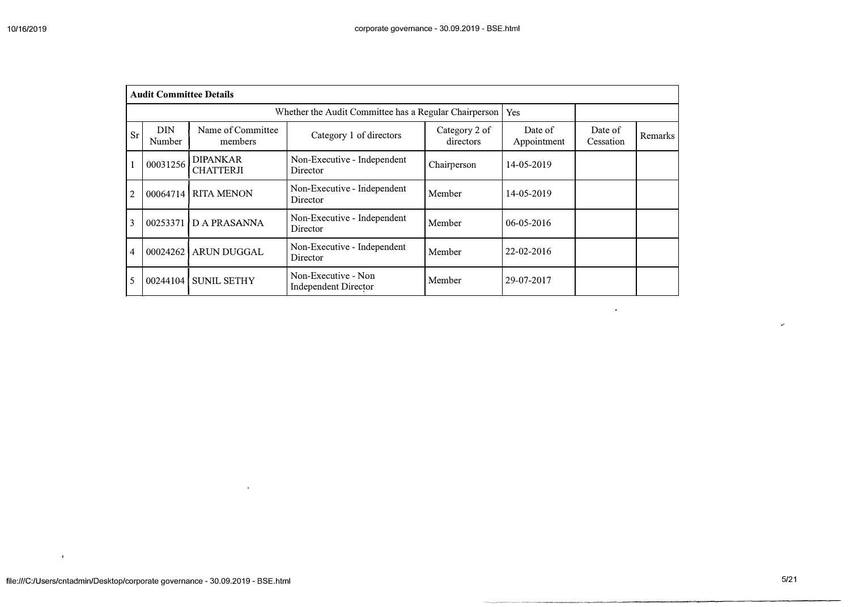|            | <b>Audit Committee Details</b> |                                     |                                                       |                            |                        |                      |         |
|------------|--------------------------------|-------------------------------------|-------------------------------------------------------|----------------------------|------------------------|----------------------|---------|
|            |                                |                                     | Whether the Audit Committee has a Regular Chairperson |                            | Yes                    |                      |         |
| Sr         | <b>DIN</b><br>Number           | Name of Committee<br>members        | Category 1 of directors                               | Category 2 of<br>directors | Date of<br>Appointment | Date of<br>Cessation | Remarks |
|            | 00031256                       | <b>DIPANKAR</b><br><b>CHATTERJI</b> | Non-Executive - Independent<br>Director               | Chairperson                | 14-05-2019             |                      |         |
| $\sqrt{2}$ | 00064714                       | <b>RITA MENON</b>                   | Non-Executive - Independent<br>Director               | Member                     | 14-05-2019             |                      |         |
| 3          |                                | 00253371   D A PRASANNA             | Non-Executive - Independent<br>Director               | Member                     | 06-05-2016             |                      |         |
| 4          | 00024262                       | <b>ARUN DUGGAL</b>                  | Non-Executive - Independent<br>Director               | Member                     | 22-02-2016             |                      |         |
| 5          | 00244104                       | <b>SUNIL SETHY</b>                  | Non-Executive - Non<br>Independent Director           | Member                     | 29-07-2017             |                      |         |

 $\langle \Psi \rangle$ 

 $\epsilon$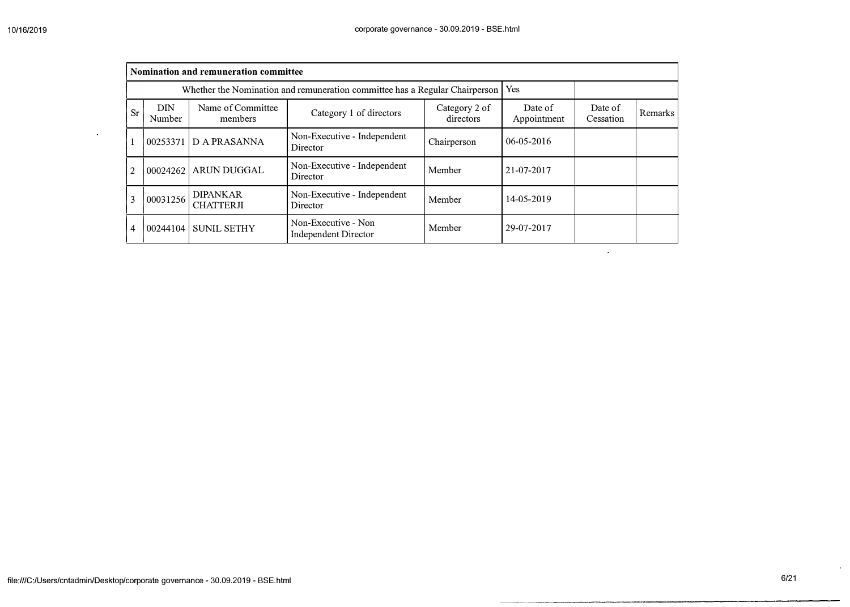$\ddot{\phantom{a}}$ 

 $\sim 10$ 

|           |                      | Nomination and remuneration committee |                                                                             |                            |                        |                      |         |
|-----------|----------------------|---------------------------------------|-----------------------------------------------------------------------------|----------------------------|------------------------|----------------------|---------|
|           |                      |                                       | Whether the Nomination and remuneration committee has a Regular Chairperson |                            | Yes                    |                      |         |
| <b>Sr</b> | <b>DIN</b><br>Number | Name of Committee<br>members          | Category 1 of directors                                                     | Category 2 of<br>directors | Date of<br>Appointment | Date of<br>Cessation | Remarks |
|           | 00253371             | <b>D A PRASANNA</b>                   | Non-Executive - Independent<br>Director                                     | Chairperson                | $06 - 05 - 2016$       |                      |         |
| 2         | 00024262             | <b>ARUN DUGGAL</b>                    | Non-Executive - Independent<br>Director                                     | Member                     | 21-07-2017             |                      |         |
| 3         | 00031256             | <b>DIPANKAR</b><br><b>CHATTERJI</b>   | Non-Executive - Independent<br>Director                                     | Member                     | 14-05-2019             |                      |         |
| 4         | 00244104             | <b>SUNIL SETHY</b>                    | Non-Executive - Non<br>Independent Director                                 | Member                     | 29-07-2017             |                      |         |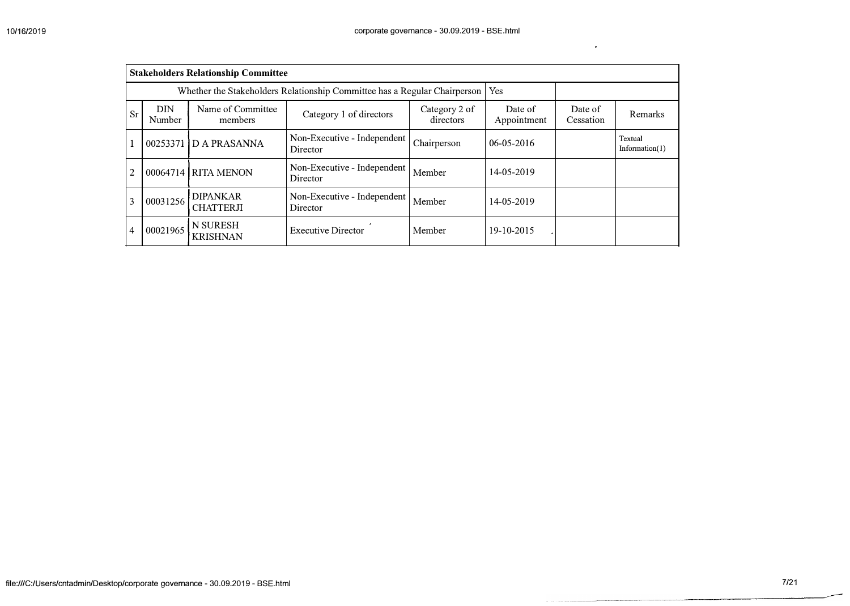$\epsilon$ 

|                |                      | <b>Stakeholders Relationship Committee</b> |                                                                           |                            |                        |                      |                              |
|----------------|----------------------|--------------------------------------------|---------------------------------------------------------------------------|----------------------------|------------------------|----------------------|------------------------------|
|                |                      |                                            | Whether the Stakeholders Relationship Committee has a Regular Chairperson |                            | Yes                    |                      |                              |
| Sr             | <b>DIN</b><br>Number | Name of Committee<br>members               | Category 1 of directors                                                   | Category 2 of<br>directors | Date of<br>Appointment | Date of<br>Cessation | Remarks                      |
|                | 00253371             | D A PRASANNA                               | Non-Executive - Independent<br>Director                                   | Chairperson                | $06 - 05 - 2016$       |                      | Textual<br>Information $(1)$ |
| 2              |                      | 00064714 RITA MENON                        | Non-Executive - Independent<br>Director                                   | Member                     | 14-05-2019             |                      |                              |
| 3              | 00031256             | <b>DIPANKAR</b><br><b>CHATTERJI</b>        | Non-Executive - Independent<br>Director                                   | Member                     | 14-05-2019             |                      |                              |
| $\overline{4}$ | 00021965             | N SURESH<br><b>KRISHNAN</b>                | <b>Executive Director</b>                                                 | Member                     | 19-10-2015             |                      |                              |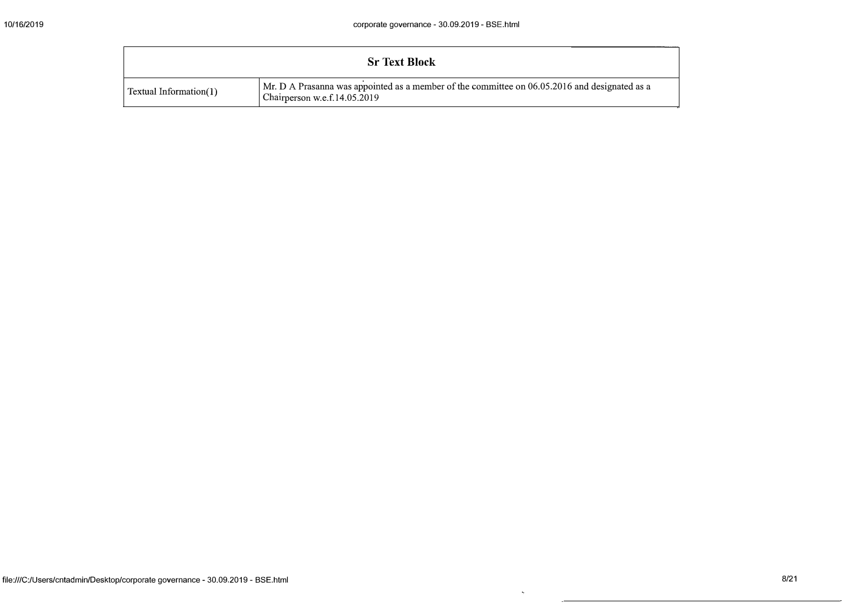|                        | <b>Sr Text Block</b>                                                                                                          |  |  |  |  |  |  |  |
|------------------------|-------------------------------------------------------------------------------------------------------------------------------|--|--|--|--|--|--|--|
| Textual Information(1) | Mr. D A Prasanna was appointed as a member of the committee on 06.05.2016 and designated as a<br>Chairperson w.e.f.14.05.2019 |  |  |  |  |  |  |  |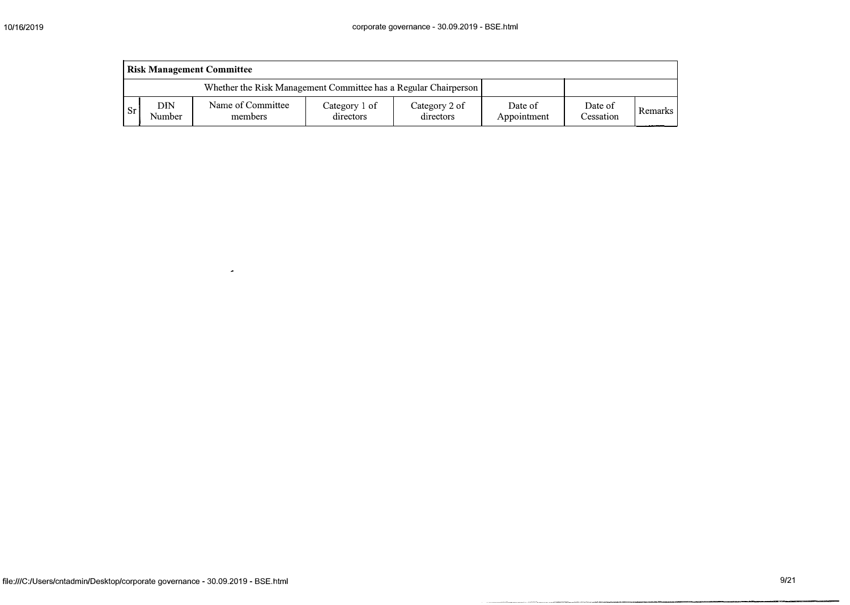|      | <b>Risk Management Committee</b>                                |                              |                            |                            |                        |                      |         |  |  |  |  |  |
|------|-----------------------------------------------------------------|------------------------------|----------------------------|----------------------------|------------------------|----------------------|---------|--|--|--|--|--|
|      | Whether the Risk Management Committee has a Regular Chairperson |                              |                            |                            |                        |                      |         |  |  |  |  |  |
| . Sr | DIN<br>Number                                                   | Name of Committee<br>members | Category 1 of<br>directors | Category 2 of<br>directors | Date of<br>Appointment | Date of<br>Cessation | Remarks |  |  |  |  |  |

 $\omega$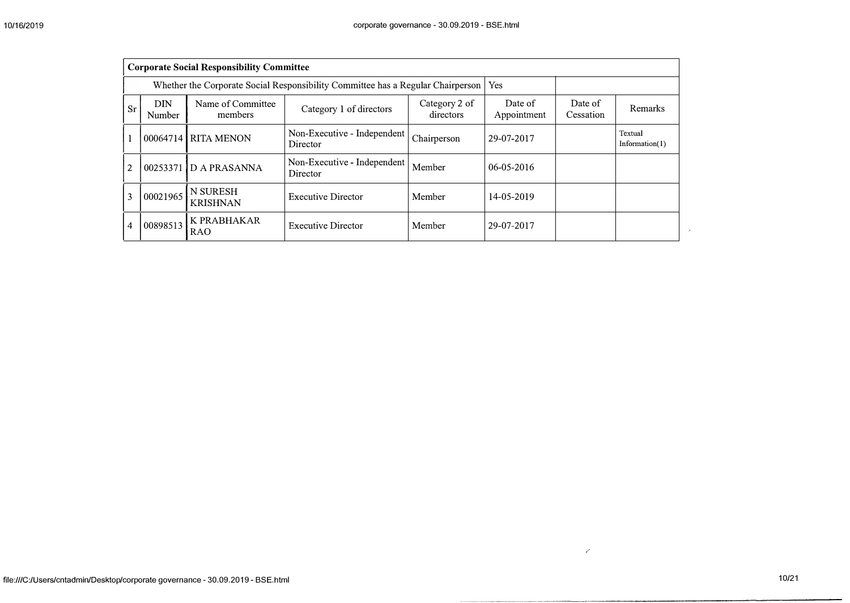|                | <b>Corporate Social Responsibility Committee</b> |                              |                                                                                 |                            |                        |                      |                           |  |  |  |  |
|----------------|--------------------------------------------------|------------------------------|---------------------------------------------------------------------------------|----------------------------|------------------------|----------------------|---------------------------|--|--|--|--|
|                |                                                  |                              | Whether the Corporate Social Responsibility Committee has a Regular Chairperson |                            | Yes                    |                      |                           |  |  |  |  |
| <b>Sr</b>      | <b>DIN</b><br>Number                             | Name of Committee<br>members | Category 1 of directors                                                         | Category 2 of<br>directors | Date of<br>Appointment | Date of<br>Cessation | Remarks                   |  |  |  |  |
| 1              |                                                  | 00064714 RITA MENON          | Non-Executive - Independent<br>Director                                         | Chairperson                | 29-07-2017             |                      | Textual<br>Information(1) |  |  |  |  |
| $\overline{2}$ |                                                  | 00253371 D A PRASANNA        | Non-Executive - Independent<br>Director                                         | Member                     | $06 - 05 - 2016$       |                      |                           |  |  |  |  |
| 3              | 00021965                                         | N SURESH<br><b>KRISHNAN</b>  | <b>Executive Director</b>                                                       | Member                     | 14-05-2019             |                      |                           |  |  |  |  |
| $\overline{4}$ | 00898513                                         | K PRABHAKAR<br><b>RAO</b>    | <b>Executive Director</b>                                                       | Member                     | 29-07-2017             |                      |                           |  |  |  |  |

 $\boldsymbol{S}^{\pm}$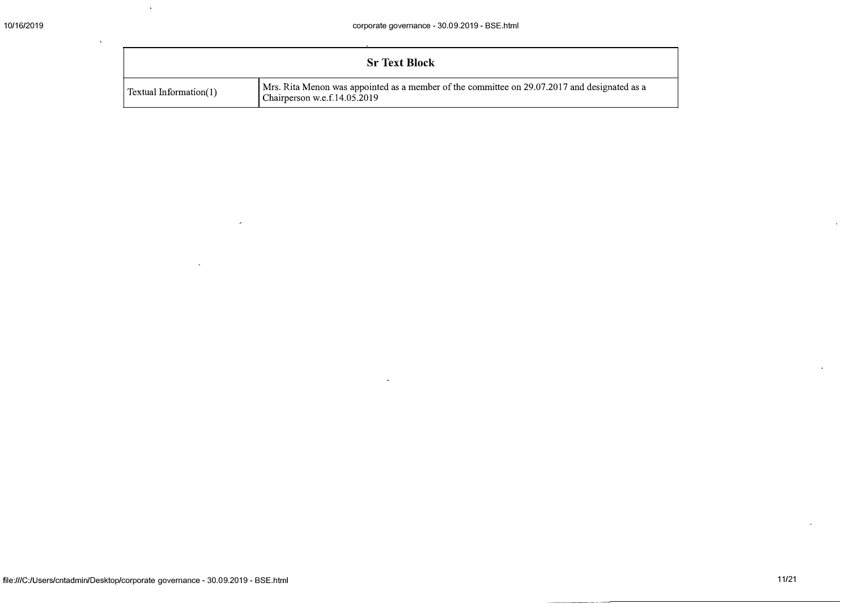|                        | <b>Sr Text Block</b>                                                                                                         |
|------------------------|------------------------------------------------------------------------------------------------------------------------------|
| Textual Information(1) | Mrs. Rita Menon was appointed as a member of the committee on 29.07.2017 and designated as a<br>Chairperson w.e.f.14.05.2019 |

 $\ddot{\phantom{a}}$ 

 $\sim$   $\alpha$ 

 $\omega$ 

 $\sim$ 

 $\tilde{\mathbf{v}}$ 

 $\sim$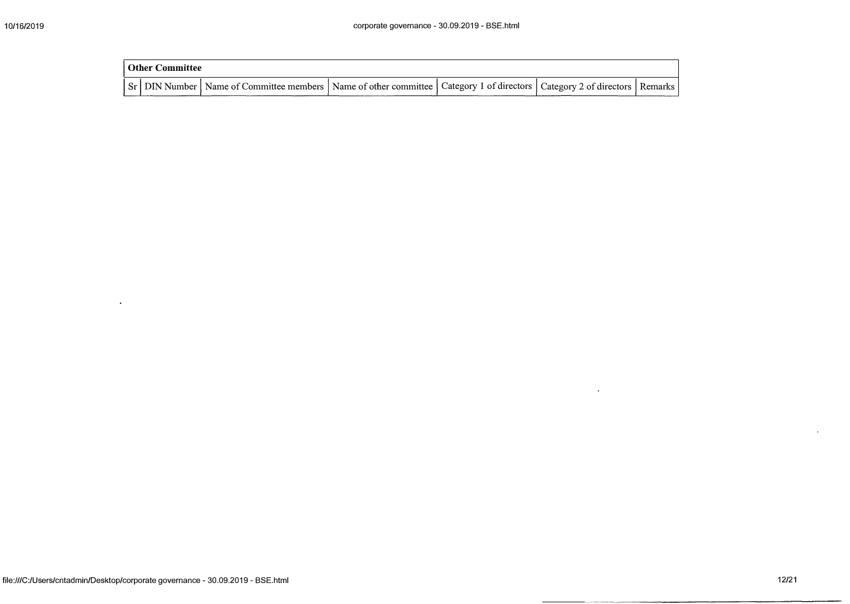| <b>Other Committee</b> |                                                                                                                                     |  |  |  |  |  |  |  |  |  |
|------------------------|-------------------------------------------------------------------------------------------------------------------------------------|--|--|--|--|--|--|--|--|--|
|                        | Sr   DIN Number   Name of Committee members   Name of other committee   Category 1 of directors   Category 2 of directors   Remarks |  |  |  |  |  |  |  |  |  |

 $\mathcal{A}^{\pm}$ 

 $\sim$ 

 $\hat{\mathbf{r}}$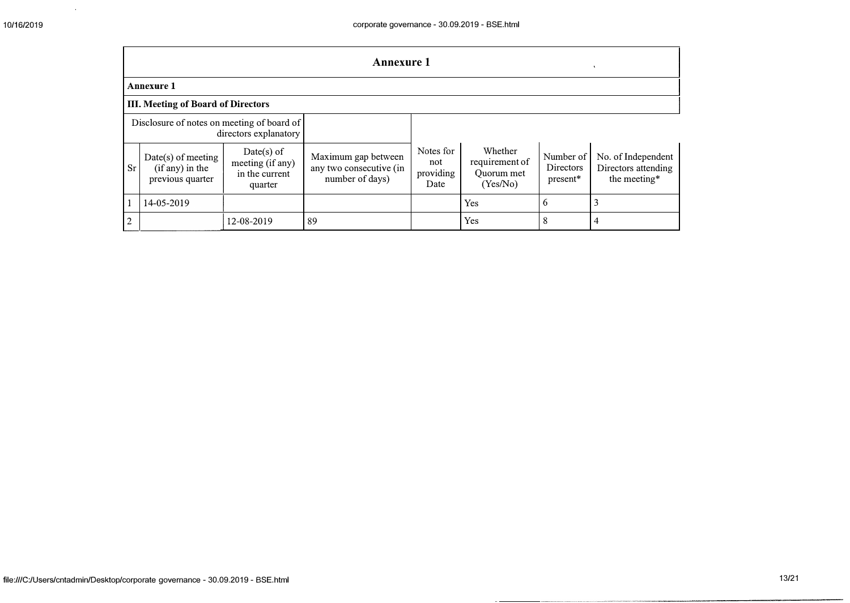$\sim 10^{-11}$ 

|                                                                     | <b>Annexure 1</b>                                           |                                                               |                                                                   |                                       |                                                     |                                           |                                                           |
|---------------------------------------------------------------------|-------------------------------------------------------------|---------------------------------------------------------------|-------------------------------------------------------------------|---------------------------------------|-----------------------------------------------------|-------------------------------------------|-----------------------------------------------------------|
|                                                                     | <b>Annexure 1</b>                                           |                                                               |                                                                   |                                       |                                                     |                                           |                                                           |
|                                                                     | <b>III. Meeting of Board of Directors</b>                   |                                                               |                                                                   |                                       |                                                     |                                           |                                                           |
| Disclosure of notes on meeting of board of<br>directors explanatory |                                                             |                                                               |                                                                   |                                       |                                                     |                                           |                                                           |
| <b>Sr</b>                                                           | $Date(s)$ of meeting<br>(if any) in the<br>previous quarter | $Date(s)$ of<br>meeting (if any)<br>in the current<br>quarter | Maximum gap between<br>any two consecutive (in<br>number of days) | Notes for<br>not<br>providing<br>Date | Whether<br>requirement of<br>Quorum met<br>(Yes/No) | Number of<br><b>Directors</b><br>present* | No. of Independent<br>Directors attending<br>the meeting* |
|                                                                     | 14-05-2019                                                  |                                                               |                                                                   |                                       | Yes                                                 | 6                                         | 3                                                         |
| $\mathbf{2}$                                                        |                                                             | 12-08-2019                                                    | 89                                                                |                                       | Yes                                                 | 8                                         | 4                                                         |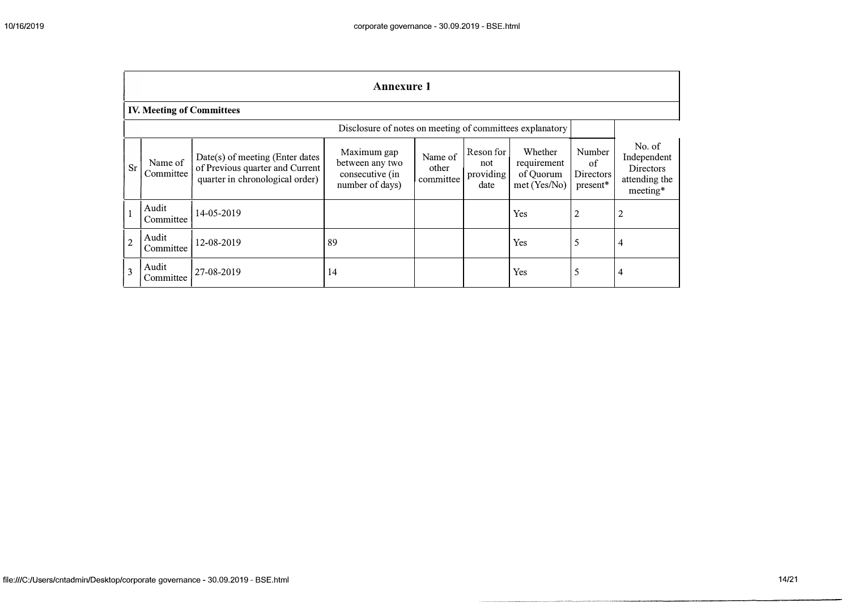|                | <b>Annexure 1</b>                                        |                                                                                                       |                                                                      |                               |                                       |                                                    |                                                |                                                                        |
|----------------|----------------------------------------------------------|-------------------------------------------------------------------------------------------------------|----------------------------------------------------------------------|-------------------------------|---------------------------------------|----------------------------------------------------|------------------------------------------------|------------------------------------------------------------------------|
|                | <b>IV. Meeting of Committees</b>                         |                                                                                                       |                                                                      |                               |                                       |                                                    |                                                |                                                                        |
|                | Disclosure of notes on meeting of committees explanatory |                                                                                                       |                                                                      |                               |                                       |                                                    |                                                |                                                                        |
| <b>Sr</b>      | Name of<br>Committee                                     | Date(s) of meeting (Enter dates<br>of Previous quarter and Current<br>quarter in chronological order) | Maximum gap<br>between any two<br>consecutive (in<br>number of days) | Name of<br>other<br>committee | Reson for<br>not<br>providing<br>date | Whether<br>requirement<br>of Quorum<br>met(Yes/No) | Number<br>of<br><b>Directors</b><br>$present*$ | No. of<br>Independent<br><b>Directors</b><br>attending the<br>meeting* |
| $\overline{1}$ | Audit<br>Committee                                       | 14-05-2019                                                                                            |                                                                      |                               |                                       | Yes                                                | 2                                              | 2                                                                      |
| $\overline{2}$ | Audit<br>Committee                                       | 12-08-2019                                                                                            | 89                                                                   |                               |                                       | Yes                                                | 5                                              | 4                                                                      |
| $\mathbf{3}$   | Audit<br>Committee                                       | 27-08-2019                                                                                            | 14                                                                   |                               |                                       | Yes                                                | 5                                              | 4                                                                      |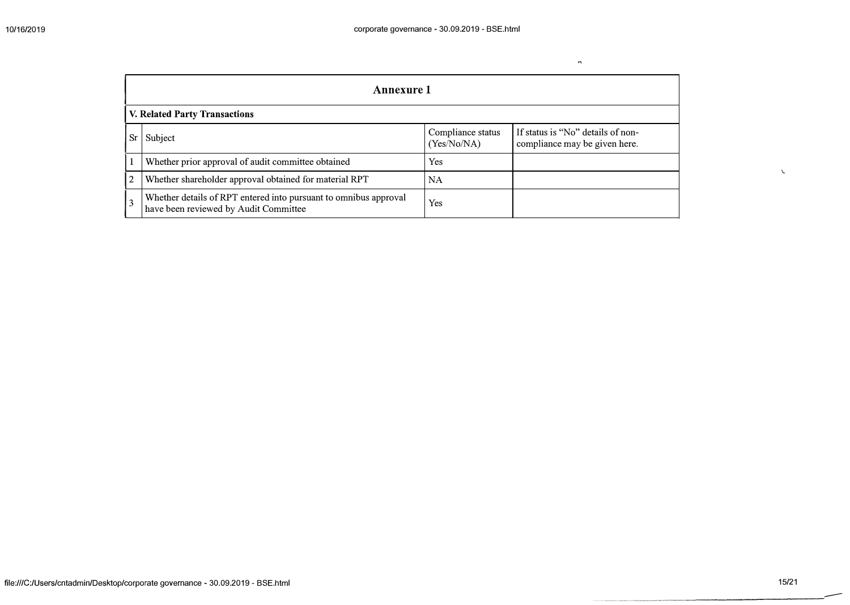$\tilde{\phantom{a}}$ 

|             | Annexure 1                                                                                                |                                  |                                                                    |  |  |  |
|-------------|-----------------------------------------------------------------------------------------------------------|----------------------------------|--------------------------------------------------------------------|--|--|--|
|             | <b>V. Related Party Transactions</b>                                                                      |                                  |                                                                    |  |  |  |
|             | Subject                                                                                                   | Compliance status<br>(Yes/No/NA) | If status is "No" details of non-<br>compliance may be given here. |  |  |  |
|             | Whether prior approval of audit committee obtained                                                        | Yes                              |                                                                    |  |  |  |
| $ 2\rangle$ | Whether shareholder approval obtained for material RPT                                                    | NA                               |                                                                    |  |  |  |
|             | Whether details of RPT entered into pursuant to omnibus approval<br>have been reviewed by Audit Committee | Yes                              |                                                                    |  |  |  |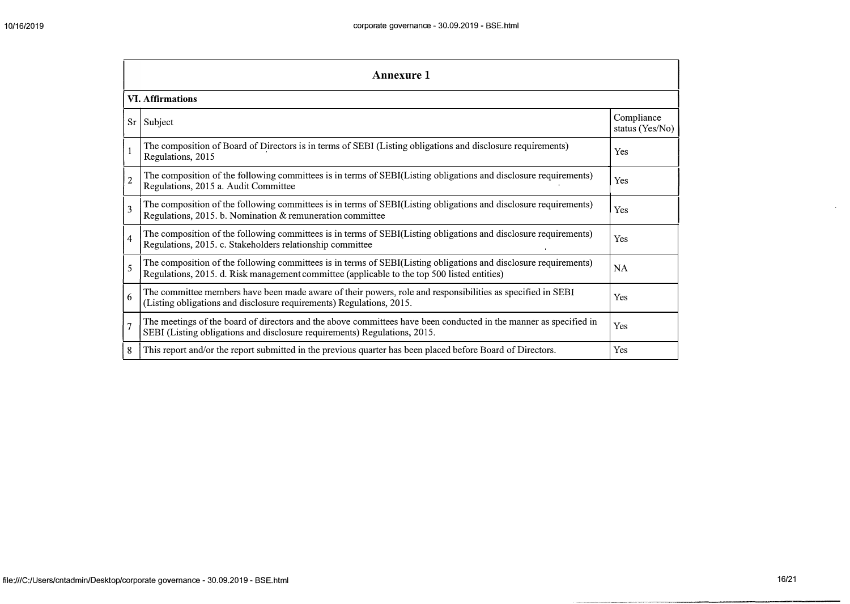|                | <b>Annexure 1</b>                                                                                                                                                                                               |                               |  |  |  |
|----------------|-----------------------------------------------------------------------------------------------------------------------------------------------------------------------------------------------------------------|-------------------------------|--|--|--|
|                | <b>VI. Affirmations</b>                                                                                                                                                                                         |                               |  |  |  |
| $S_{r}$        | Subject                                                                                                                                                                                                         | Compliance<br>status (Yes/No) |  |  |  |
|                | The composition of Board of Directors is in terms of SEBI (Listing obligations and disclosure requirements)<br>Regulations, 2015                                                                                | Yes                           |  |  |  |
| $\overline{2}$ | The composition of the following committees is in terms of SEBI(Listing obligations and disclosure requirements)<br>Regulations, 2015 a. Audit Committee                                                        | Yes                           |  |  |  |
| 3              | The composition of the following committees is in terms of SEBI(Listing obligations and disclosure requirements)<br>Regulations, 2015. b. Nomination & remuneration committee                                   | Yes                           |  |  |  |
| $\overline{4}$ | The composition of the following committees is in terms of SEBI(Listing obligations and disclosure requirements)<br>Regulations, 2015. c. Stakeholders relationship committee                                   | Yes                           |  |  |  |
| 5              | The composition of the following committees is in terms of SEBI(Listing obligations and disclosure requirements)<br>Regulations, 2015. d. Risk management committee (applicable to the top 500 listed entities) | <b>NA</b>                     |  |  |  |
| 6              | The committee members have been made aware of their powers, role and responsibilities as specified in SEBI<br>(Listing obligations and disclosure requirements) Regulations, 2015.                              | Yes                           |  |  |  |
| $\overline{7}$ | The meetings of the board of directors and the above committees have been conducted in the manner as specified in<br>SEBI (Listing obligations and disclosure requirements) Regulations, 2015.                  | Yes                           |  |  |  |
| 8              | This report and/or the report submitted in the previous quarter has been placed before Board of Directors.                                                                                                      | Yes                           |  |  |  |

 $\mathbf{u}$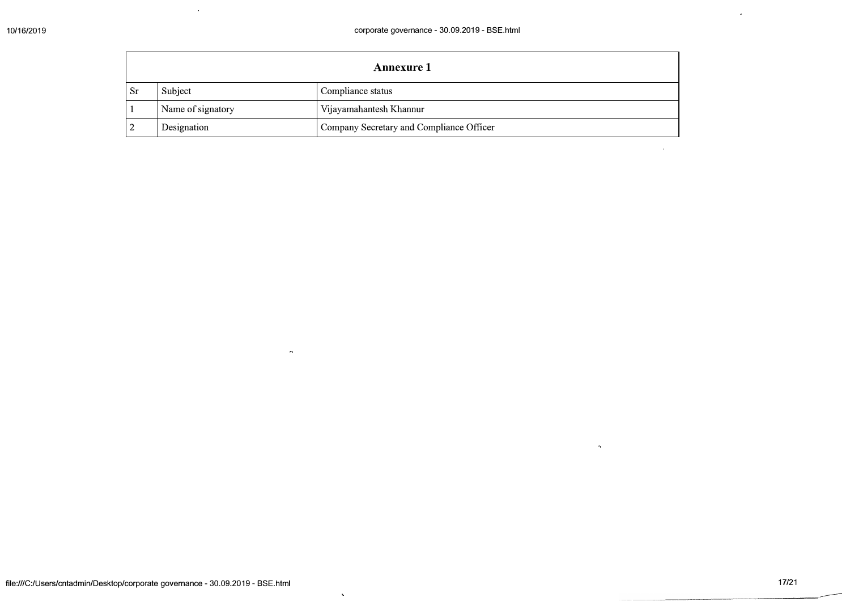|      | Annexure 1        |                                          |  |  |
|------|-------------------|------------------------------------------|--|--|
| . Sr | Subject           | Compliance status                        |  |  |
|      | Name of signatory | Vijayamahantesh Khannur                  |  |  |
| 2    | Designation       | Company Secretary and Compliance Officer |  |  |

 $\alpha$  .

 $\langle \sigma \rangle$ 

 $\mathbf{x}$ 

 $\alpha$ 

 $\mathbf{A}$ 

 $\gamma$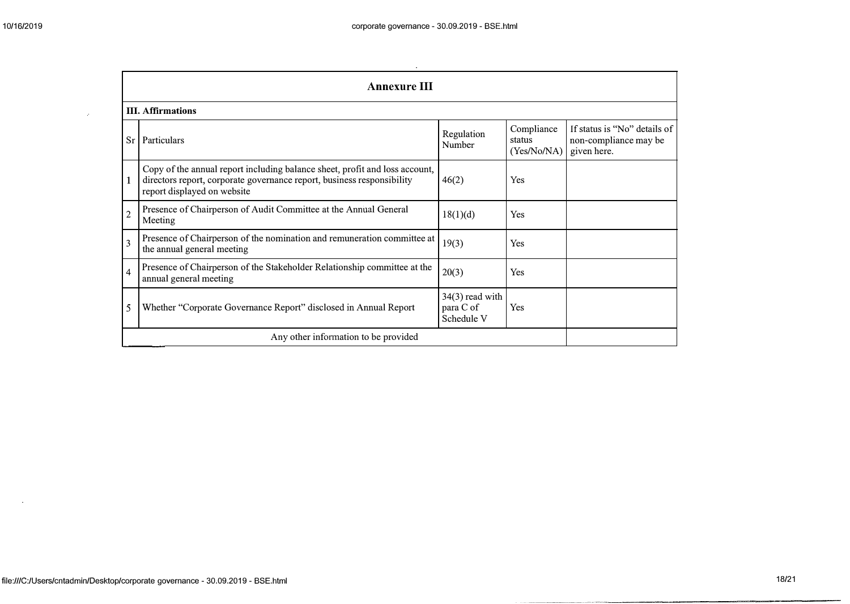$\mathbf{r}$ 

 $\langle \rho \rangle$ 

|                          | <b>Annexure III</b>                                                                                                                                                                  |                                              |                                     |                                                                      |  |  |  |
|--------------------------|--------------------------------------------------------------------------------------------------------------------------------------------------------------------------------------|----------------------------------------------|-------------------------------------|----------------------------------------------------------------------|--|--|--|
|                          | <b>III.</b> Affirmations                                                                                                                                                             |                                              |                                     |                                                                      |  |  |  |
| Sr                       | Particulars                                                                                                                                                                          | Regulation<br>Number                         | Compliance<br>status<br>(Yes/No/NA) | If status is "No" details of<br>non-compliance may be<br>given here. |  |  |  |
| 1                        | Copy of the annual report including balance sheet, profit and loss account,<br>directors report, corporate governance report, business responsibility<br>report displayed on website | 46(2)                                        | Yes                                 |                                                                      |  |  |  |
| $\overline{c}$           | Presence of Chairperson of Audit Committee at the Annual General<br>Meeting                                                                                                          | 18(1)(d)                                     | Yes                                 |                                                                      |  |  |  |
| $\overline{3}$           | Presence of Chairperson of the nomination and remuneration committee at<br>the annual general meeting                                                                                | 19(3)                                        | Yes                                 |                                                                      |  |  |  |
| $\overline{\mathcal{L}}$ | Presence of Chairperson of the Stakeholder Relationship committee at the<br>annual general meeting                                                                                   | 20(3)                                        | Yes                                 |                                                                      |  |  |  |
| 5                        | Whether "Corporate Governance Report" disclosed in Annual Report                                                                                                                     | $34(3)$ read with<br>para C of<br>Schedule V | <b>Yes</b>                          |                                                                      |  |  |  |
|                          | Any other information to be provided                                                                                                                                                 |                                              |                                     |                                                                      |  |  |  |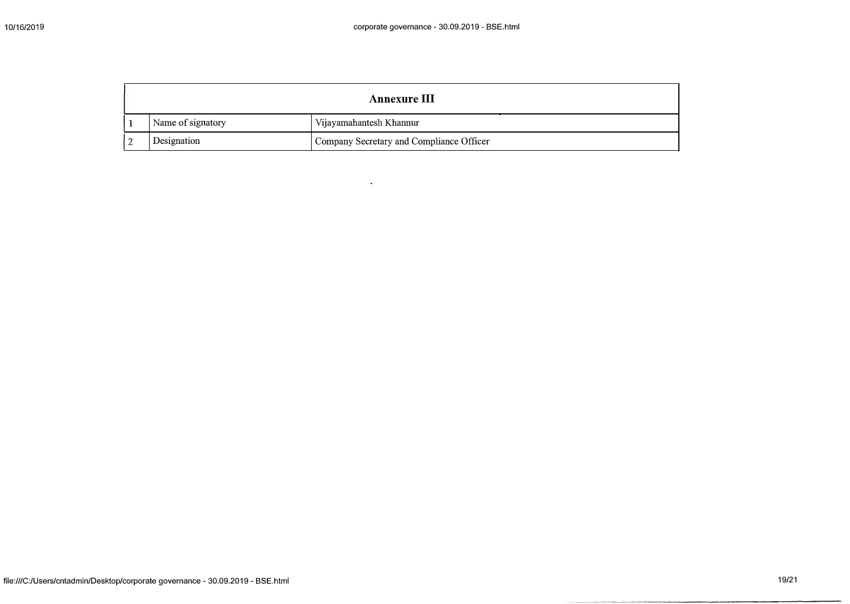| Annexure III      |                                          |  |
|-------------------|------------------------------------------|--|
| Name of signatory | Vijayamahantesh Khannur                  |  |
| Designation       | Company Secretary and Compliance Officer |  |

 $\mathbf{u}$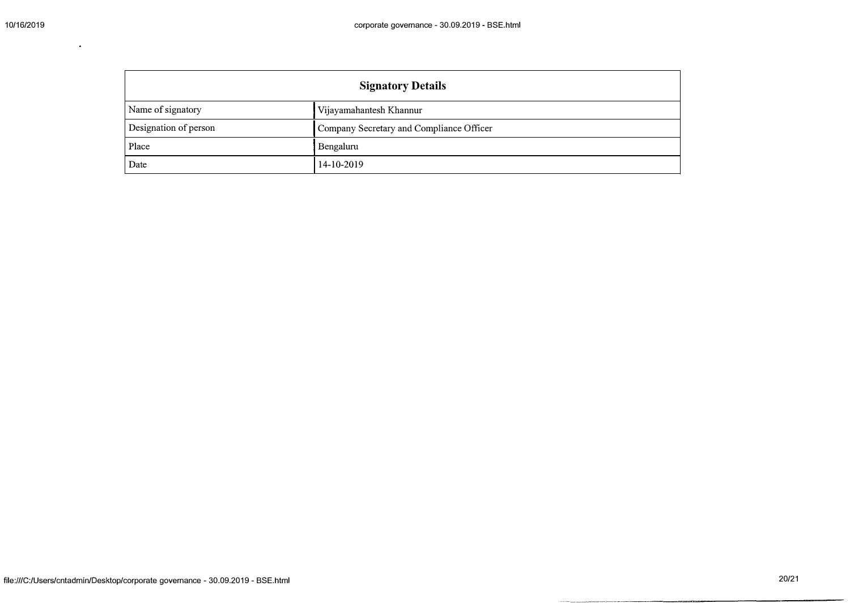| <b>Signatory Details</b> |                                          |  |
|--------------------------|------------------------------------------|--|
| Name of signatory        | Vijayamahantesh Khannur                  |  |
| Designation of person    | Company Secretary and Compliance Officer |  |
| Place                    | Bengaluru                                |  |
| Date                     | 14-10-2019                               |  |